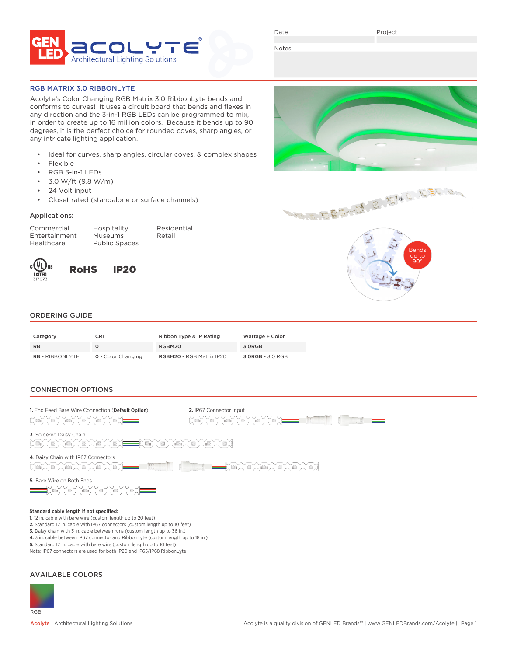

Date

Project

Notes

RGB MATRIX 3.0 RIBBONLYTE

Acolyte's Color Changing RGB Matrix 3.0 RibbonLyte bends and conforms to curves! It uses a circuit board that bends and flexes in any direction and the 3-in-1 RGB LEDs can be programmed to mix, in order to create up to 16 million colors. Because it bends up to 90 degrees, it is the perfect choice for rounded coves, sharp angles, or any intricate lighting application.

- Ideal for curves, sharp angles, circular coves, & complex shapes
- **Flexible**
- RGB 3-in-1 LEDs
- 3.0 W/ft (9.8 W/m)
- 24 Volt input
- Closet rated (standalone or surface channels)

### Applications:

Commercial Hospitality Residential Healthcare Public Spaces

Entertainment Museums Retail



RoHS IP20





## ORDERING GUIDE

| Category               | <b>CRI</b>                | Ribbon Type & IP Rating  | Wattage + Color  |
|------------------------|---------------------------|--------------------------|------------------|
| <b>RB</b>              |                           | RGBM20                   | 3.0RGB           |
| <b>RB</b> - RIBBONLYTE | <b>0</b> - Color Changing | RGBM20 - RGB Matrix IP20 | 3.0RGB - 3.0 RGB |

## CONNECTION OPTIONS



- **5.** Standard 12 in. cable with bare wire (custom length up to 10 feet)
- Note: IP67 connectors are used for both IP20 and IP65/IP68 RibbonLyte

# AVAILABLE COLORS

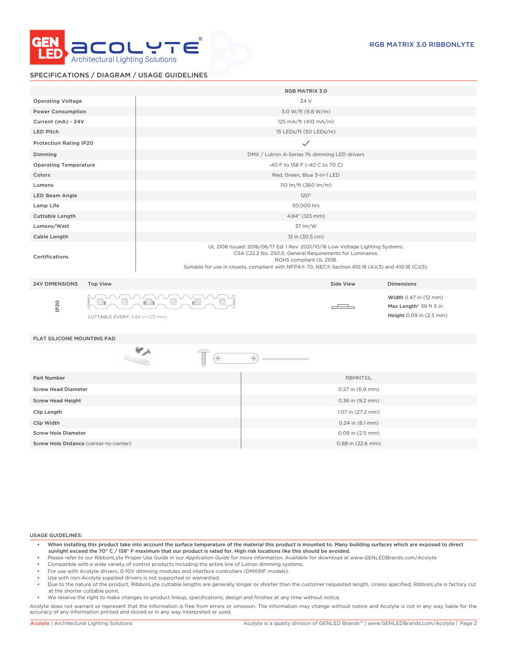

## SPECIFICATIONS / DIAGRAM / USAGE GUIDELINES

|                                   |                                  |                                                                                                                                                                                                                                                                               | <b>RGB MATRIX 3.0</b>                        |                  |                                                                            |  |  |
|-----------------------------------|----------------------------------|-------------------------------------------------------------------------------------------------------------------------------------------------------------------------------------------------------------------------------------------------------------------------------|----------------------------------------------|------------------|----------------------------------------------------------------------------|--|--|
| <b>Operating Voltage</b>          |                                  |                                                                                                                                                                                                                                                                               | 24 V                                         |                  |                                                                            |  |  |
| <b>Power Consumption</b>          |                                  |                                                                                                                                                                                                                                                                               | 3.0 W/ft (9.8 W/m)                           |                  |                                                                            |  |  |
| Current (mA) - 24V                |                                  |                                                                                                                                                                                                                                                                               | 125 mA/ft (410 mA/m)                         |                  |                                                                            |  |  |
| <b>LED Pitch</b>                  |                                  |                                                                                                                                                                                                                                                                               | 15 LEDs/ft (50 LEDs/m)                       |                  |                                                                            |  |  |
| <b>Protection Rating IP20</b>     |                                  |                                                                                                                                                                                                                                                                               | $\checkmark$                                 |                  |                                                                            |  |  |
| Dimming                           |                                  |                                                                                                                                                                                                                                                                               | DMX / Lutron A-Series 1% dimming LED drivers |                  |                                                                            |  |  |
| <b>Operating Temperature</b>      |                                  |                                                                                                                                                                                                                                                                               | -40 F to 158 F (-40 C to 70 C)               |                  |                                                                            |  |  |
| Colors                            |                                  |                                                                                                                                                                                                                                                                               | Red, Green, Blue 3-in-1 LED                  |                  |                                                                            |  |  |
| Lumens                            |                                  |                                                                                                                                                                                                                                                                               | 110 lm/ft (360 lm/m)                         |                  |                                                                            |  |  |
| <b>LED Beam Angle</b>             |                                  |                                                                                                                                                                                                                                                                               | 120°                                         |                  |                                                                            |  |  |
| Lamp Life                         |                                  | 50,000 hrs                                                                                                                                                                                                                                                                    |                                              |                  |                                                                            |  |  |
| Cuttable Length                   |                                  | 4.84" (123 mm)                                                                                                                                                                                                                                                                |                                              |                  |                                                                            |  |  |
| Lumens/Watt                       |                                  | 37 lm/W                                                                                                                                                                                                                                                                       |                                              |                  |                                                                            |  |  |
| Cable Length                      |                                  | 12 in (30.5 cm)                                                                                                                                                                                                                                                               |                                              |                  |                                                                            |  |  |
| Certifications                    |                                  | UL 2108 Issued: 2016/06/17 Ed: 1 Rev: 2021/10/16 Low Voltage Lighting Systems.<br>CSA C22.2 No. 250.0, General Requirements for Luminaires.<br>ROHS compliant UL 2108.<br>Suitable for use in closets, compliant with NFPA® 70, NEC® Section 410.16 (A)(3) and 410.16 (C)(5). |                                              |                  |                                                                            |  |  |
| <b>24V DIMENSIONS</b>             | <b>Top View</b>                  |                                                                                                                                                                                                                                                                               |                                              | Side View        | <b>Dimensions</b>                                                          |  |  |
| IP <sub>20</sub>                  | CUTTABLE EVERY: 4.84 in (123 mm) | $\mathbb{R}$<br>川                                                                                                                                                                                                                                                             |                                              |                  | Width 0.47 in (12 mm)<br>Max Length* 39 ft 5 in<br>Height 0.09 in (2.3 mm) |  |  |
| <b>FLAT SILICONE MOUNTING PAD</b> |                                  |                                                                                                                                                                                                                                                                               |                                              |                  |                                                                            |  |  |
|                                   |                                  | ⊕                                                                                                                                                                                                                                                                             | ↔                                            |                  |                                                                            |  |  |
| Part Number                       |                                  |                                                                                                                                                                                                                                                                               |                                              | <b>RBMNTSIL</b>  |                                                                            |  |  |
| <b>Screw Head Diameter</b>        |                                  | 0.27 in (6.9 mm)                                                                                                                                                                                                                                                              |                                              |                  |                                                                            |  |  |
| <b>Screw Head Height</b>          |                                  |                                                                                                                                                                                                                                                                               |                                              | 0.36 in (9.2 mm) |                                                                            |  |  |

USAGE GUIDELINES:

- When installing this product take into account the surface temperature of the material this product is mounted to. Many building surfaces which are exposed to direct sunlight exceed the 70° C / 158° F maximum that our product is rated for. High risk locations like this should be avoided.
- Please refer to our RibbonLyte Proper Use Guide in our *Application Guide* for more information. Available for download at www.GENLEDBrands.com/Acolyte
- Compatible with a wide variety of control products including the entire line of Lutron dimming systems.
- For use with Acolyte drivers, 0-10V dimming modules and interface controllers (DMXINF models).
- Use with non-Acolyte supplied drivers is not supported or warrantied.
- Due to the nature of the product, RibbonLyte cuttable lengths are generally longer or shorter than the customer requested length. Unless specified, RibbonLyte is factory cut at the shorter cuttable point.
- We reserve the right to make changes to product lineup, specifications, design and finishes at any time without notice.

Clip Length 1.07 in (27.2 mm) **Clip Width** 0.24 in (6.1 mm) **Clip Width** 0.24 in (6.1 mm) Screw Hole Diameter 0.09 in (2.5 mm) Screw Hole Distance (center-to-center) and the content of the center of the center of the center of the center of the center of the center of the center of the center of the center of the center of the center of the center

Acolyte does not warrant or represent that the information is free from errors or omission. The information may change without notice and Acolyte is not in any way liable for the accuracy of any information printed and stored or in any way interpreted or used.